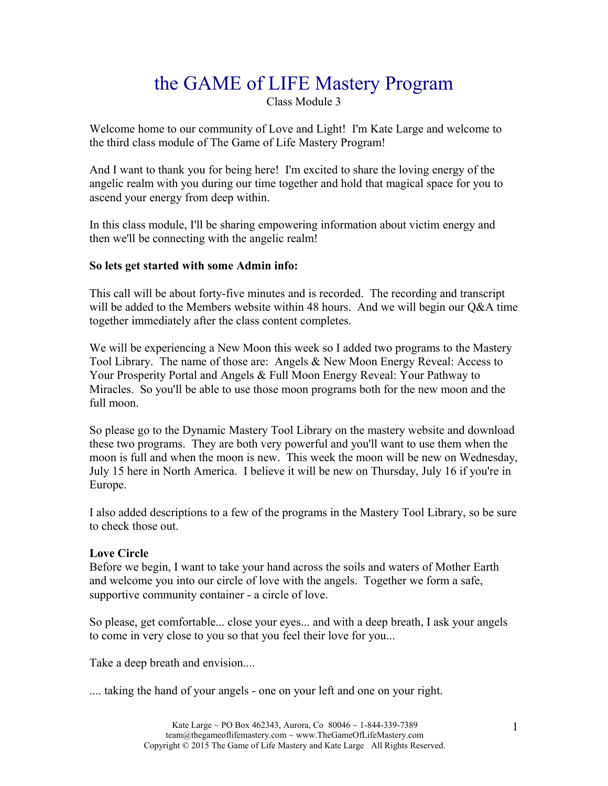# the GAME of LIFE Mastery Program

Class Module 3

Welcome home to our community of Love and Light! I'm Kate Large and welcome to the third class module of The Game of Life Mastery Program!

And I want to thank you for being here! I'm excited to share the loving energy of the angelic realm with you during our time together and hold that magical space for you to ascend your energy from deep within.

In this class module, I'll be sharing empowering information about victim energy and then we'll be connecting with the angelic realm!

## **So lets get started with some Admin info:**

This call will be about forty-five minutes and is recorded. The recording and transcript will be added to the Members website within 48 hours. And we will begin our Q&A time together immediately after the class content completes.

We will be experiencing a New Moon this week so I added two programs to the Mastery Tool Library. The name of those are: Angels & New Moon Energy Reveal: Access to Your Prosperity Portal and Angels & Full Moon Energy Reveal: Your Pathway to Miracles. So you'll be able to use those moon programs both for the new moon and the full moon.

So please go to the Dynamic Mastery Tool Library on the mastery website and download these two programs. They are both very powerful and you'll want to use them when the moon is full and when the moon is new. This week the moon will be new on Wednesday, July 15 here in North America. I believe it will be new on Thursday, July 16 if you're in Europe.

I also added descriptions to a few of the programs in the Mastery Tool Library, so be sure to check those out.

# **Love Circle**

Before we begin, I want to take your hand across the soils and waters of Mother Earth and welcome you into our circle of love with the angels. Together we form a safe, supportive community container - a circle of love.

So please, get comfortable... close your eyes... and with a deep breath, I ask your angels to come in very close to you so that you feel their love for you...

Take a deep breath and envision....

.... taking the hand of your angels - one on your left and one on your right.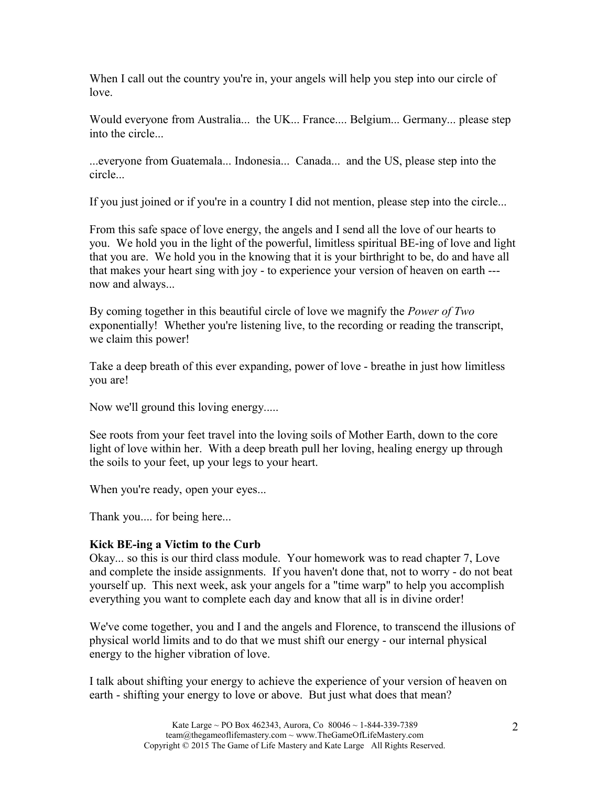When I call out the country you're in, your angels will help you step into our circle of love.

Would everyone from Australia... the UK... France.... Belgium... Germany... please step into the circle...

...everyone from Guatemala... Indonesia... Canada... and the US, please step into the circle...

If you just joined or if you're in a country I did not mention, please step into the circle...

From this safe space of love energy, the angels and I send all the love of our hearts to you. We hold you in the light of the powerful, limitless spiritual BE-ing of love and light that you are. We hold you in the knowing that it is your birthright to be, do and have all that makes your heart sing with joy - to experience your version of heaven on earth -- now and always...

By coming together in this beautiful circle of love we magnify the *Power of Two*  exponentially! Whether you're listening live, to the recording or reading the transcript, we claim this power!

Take a deep breath of this ever expanding, power of love - breathe in just how limitless you are!

Now we'll ground this loving energy.....

See roots from your feet travel into the loving soils of Mother Earth, down to the core light of love within her. With a deep breath pull her loving, healing energy up through the soils to your feet, up your legs to your heart.

When you're ready, open your eyes...

Thank you.... for being here...

# **Kick BE-ing a Victim to the Curb**

Okay... so this is our third class module. Your homework was to read chapter 7, Love and complete the inside assignments. If you haven't done that, not to worry - do not beat yourself up. This next week, ask your angels for a "time warp" to help you accomplish everything you want to complete each day and know that all is in divine order!

We've come together, you and I and the angels and Florence, to transcend the illusions of physical world limits and to do that we must shift our energy - our internal physical energy to the higher vibration of love.

I talk about shifting your energy to achieve the experience of your version of heaven on earth - shifting your energy to love or above. But just what does that mean?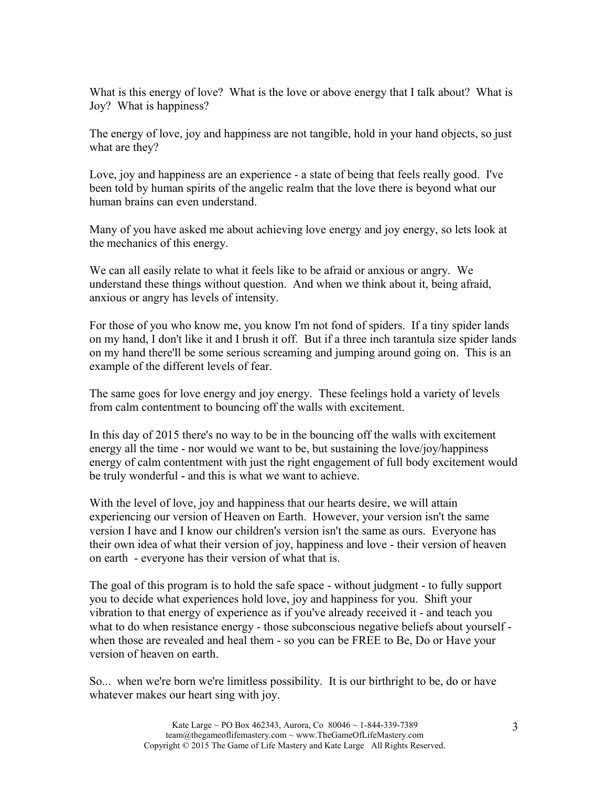What is this energy of love? What is the love or above energy that I talk about? What is Joy? What is happiness?

The energy of love, joy and happiness are not tangible, hold in your hand objects, so just what are they?

Love, joy and happiness are an experience - a state of being that feels really good. I've been told by human spirits of the angelic realm that the love there is beyond what our human brains can even understand.

Many of you have asked me about achieving love energy and joy energy, so lets look at the mechanics of this energy.

We can all easily relate to what it feels like to be afraid or anxious or angry. We understand these things without question. And when we think about it, being afraid, anxious or angry has levels of intensity.

For those of you who know me, you know I'm not fond of spiders. If a tiny spider lands on my hand, I don't like it and I brush it off. But if a three inch tarantula size spider lands on my hand there'll be some serious screaming and jumping around going on. This is an example of the different levels of fear.

The same goes for love energy and joy energy. These feelings hold a variety of levels from calm contentment to bouncing off the walls with excitement.

In this day of 2015 there's no way to be in the bouncing off the walls with excitement energy all the time - nor would we want to be, but sustaining the love/joy/happiness energy of calm contentment with just the right engagement of full body excitement would be truly wonderful - and this is what we want to achieve.

With the level of love, joy and happiness that our hearts desire, we will attain experiencing our version of Heaven on Earth. However, your version isn't the same version I have and I know our children's version isn't the same as ours. Everyone has their own idea of what their version of joy, happiness and love - their version of heaven on earth - everyone has their version of what that is.

The goal of this program is to hold the safe space - without judgment - to fully support you to decide what experiences hold love, joy and happiness for you. Shift your vibration to that energy of experience as if you've already received it - and teach you what to do when resistance energy - those subconscious negative beliefs about yourself when those are revealed and heal them - so you can be FREE to Be, Do or Have your version of heaven on earth.

So... when we're born we're limitless possibility. It is our birthright to be, do or have whatever makes our heart sing with joy.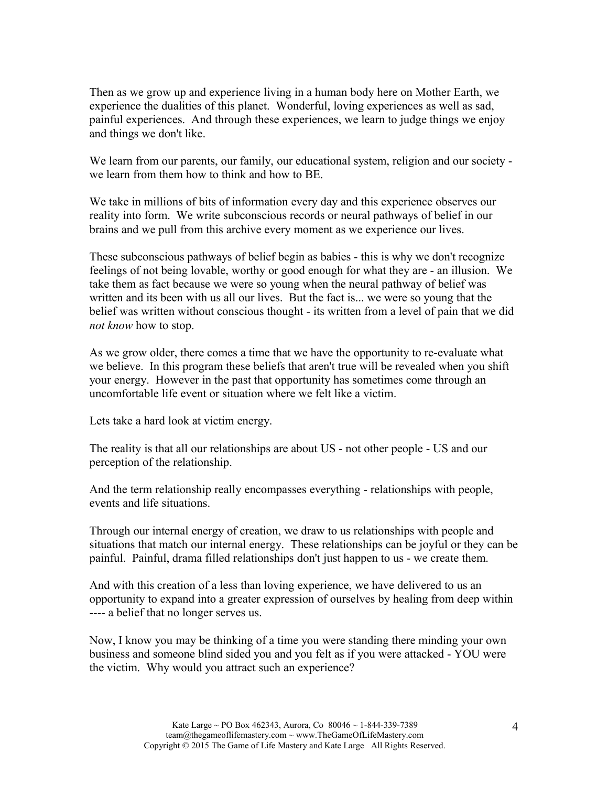Then as we grow up and experience living in a human body here on Mother Earth, we experience the dualities of this planet. Wonderful, loving experiences as well as sad, painful experiences. And through these experiences, we learn to judge things we enjoy and things we don't like.

We learn from our parents, our family, our educational system, religion and our society we learn from them how to think and how to BE.

We take in millions of bits of information every day and this experience observes our reality into form. We write subconscious records or neural pathways of belief in our brains and we pull from this archive every moment as we experience our lives.

These subconscious pathways of belief begin as babies - this is why we don't recognize feelings of not being lovable, worthy or good enough for what they are - an illusion. We take them as fact because we were so young when the neural pathway of belief was written and its been with us all our lives. But the fact is... we were so young that the belief was written without conscious thought - its written from a level of pain that we did *not know* how to stop.

As we grow older, there comes a time that we have the opportunity to re-evaluate what we believe. In this program these beliefs that aren't true will be revealed when you shift your energy. However in the past that opportunity has sometimes come through an uncomfortable life event or situation where we felt like a victim.

Lets take a hard look at victim energy.

The reality is that all our relationships are about US - not other people - US and our perception of the relationship.

And the term relationship really encompasses everything - relationships with people, events and life situations.

Through our internal energy of creation, we draw to us relationships with people and situations that match our internal energy. These relationships can be joyful or they can be painful. Painful, drama filled relationships don't just happen to us - we create them.

And with this creation of a less than loving experience, we have delivered to us an opportunity to expand into a greater expression of ourselves by healing from deep within ---- a belief that no longer serves us.

Now, I know you may be thinking of a time you were standing there minding your own business and someone blind sided you and you felt as if you were attacked - YOU were the victim. Why would you attract such an experience?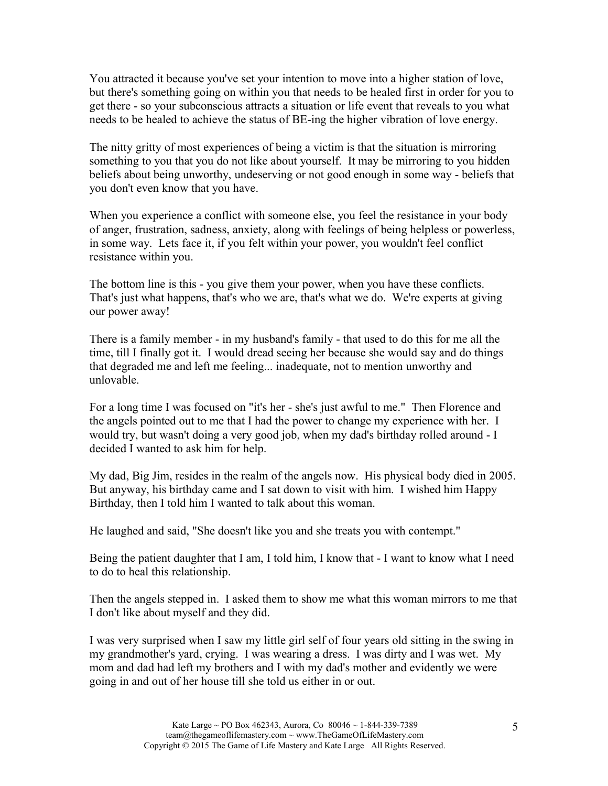You attracted it because you've set your intention to move into a higher station of love, but there's something going on within you that needs to be healed first in order for you to get there - so your subconscious attracts a situation or life event that reveals to you what needs to be healed to achieve the status of BE-ing the higher vibration of love energy.

The nitty gritty of most experiences of being a victim is that the situation is mirroring something to you that you do not like about yourself. It may be mirroring to you hidden beliefs about being unworthy, undeserving or not good enough in some way - beliefs that you don't even know that you have.

When you experience a conflict with someone else, you feel the resistance in your body of anger, frustration, sadness, anxiety, along with feelings of being helpless or powerless, in some way. Lets face it, if you felt within your power, you wouldn't feel conflict resistance within you.

The bottom line is this - you give them your power, when you have these conflicts. That's just what happens, that's who we are, that's what we do. We're experts at giving our power away!

There is a family member - in my husband's family - that used to do this for me all the time, till I finally got it. I would dread seeing her because she would say and do things that degraded me and left me feeling... inadequate, not to mention unworthy and unlovable.

For a long time I was focused on "it's her - she's just awful to me." Then Florence and the angels pointed out to me that I had the power to change my experience with her. I would try, but wasn't doing a very good job, when my dad's birthday rolled around - I decided I wanted to ask him for help.

My dad, Big Jim, resides in the realm of the angels now. His physical body died in 2005. But anyway, his birthday came and I sat down to visit with him. I wished him Happy Birthday, then I told him I wanted to talk about this woman.

He laughed and said, "She doesn't like you and she treats you with contempt."

Being the patient daughter that I am, I told him, I know that - I want to know what I need to do to heal this relationship.

Then the angels stepped in. I asked them to show me what this woman mirrors to me that I don't like about myself and they did.

I was very surprised when I saw my little girl self of four years old sitting in the swing in my grandmother's yard, crying. I was wearing a dress. I was dirty and I was wet. My mom and dad had left my brothers and I with my dad's mother and evidently we were going in and out of her house till she told us either in or out.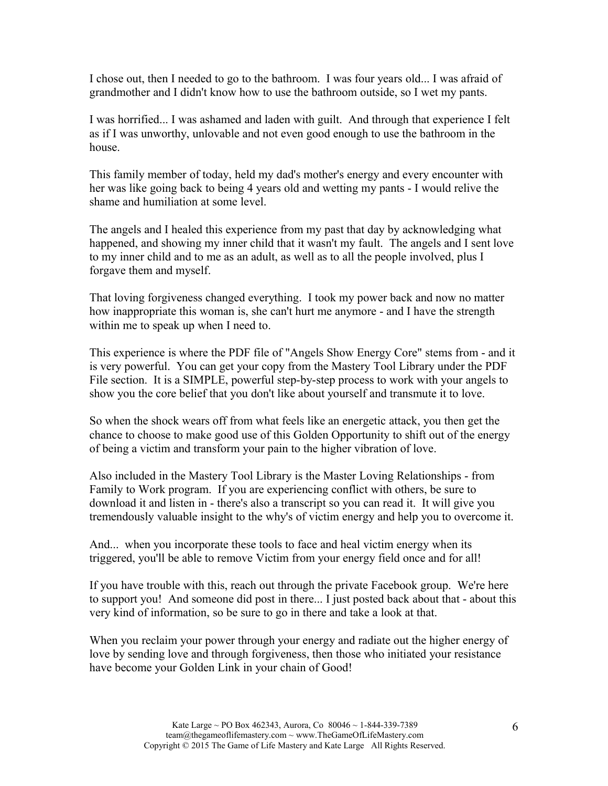I chose out, then I needed to go to the bathroom. I was four years old... I was afraid of grandmother and I didn't know how to use the bathroom outside, so I wet my pants.

I was horrified... I was ashamed and laden with guilt. And through that experience I felt as if I was unworthy, unlovable and not even good enough to use the bathroom in the house.

This family member of today, held my dad's mother's energy and every encounter with her was like going back to being 4 years old and wetting my pants - I would relive the shame and humiliation at some level.

The angels and I healed this experience from my past that day by acknowledging what happened, and showing my inner child that it wasn't my fault. The angels and I sent love to my inner child and to me as an adult, as well as to all the people involved, plus I forgave them and myself.

That loving forgiveness changed everything. I took my power back and now no matter how inappropriate this woman is, she can't hurt me anymore - and I have the strength within me to speak up when I need to.

This experience is where the PDF file of "Angels Show Energy Core" stems from - and it is very powerful. You can get your copy from the Mastery Tool Library under the PDF File section. It is a SIMPLE, powerful step-by-step process to work with your angels to show you the core belief that you don't like about yourself and transmute it to love.

So when the shock wears off from what feels like an energetic attack, you then get the chance to choose to make good use of this Golden Opportunity to shift out of the energy of being a victim and transform your pain to the higher vibration of love.

Also included in the Mastery Tool Library is the Master Loving Relationships - from Family to Work program. If you are experiencing conflict with others, be sure to download it and listen in - there's also a transcript so you can read it. It will give you tremendously valuable insight to the why's of victim energy and help you to overcome it.

And... when you incorporate these tools to face and heal victim energy when its triggered, you'll be able to remove Victim from your energy field once and for all!

If you have trouble with this, reach out through the private Facebook group. We're here to support you! And someone did post in there... I just posted back about that - about this very kind of information, so be sure to go in there and take a look at that.

When you reclaim your power through your energy and radiate out the higher energy of love by sending love and through forgiveness, then those who initiated your resistance have become your Golden Link in your chain of Good!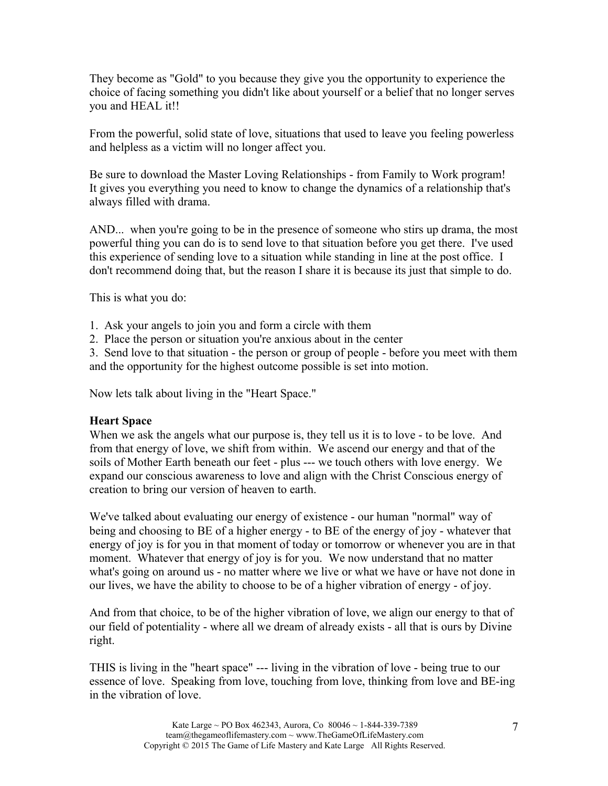They become as "Gold" to you because they give you the opportunity to experience the choice of facing something you didn't like about yourself or a belief that no longer serves you and HEAL it!!

From the powerful, solid state of love, situations that used to leave you feeling powerless and helpless as a victim will no longer affect you.

Be sure to download the Master Loving Relationships - from Family to Work program! It gives you everything you need to know to change the dynamics of a relationship that's always filled with drama.

AND... when you're going to be in the presence of someone who stirs up drama, the most powerful thing you can do is to send love to that situation before you get there. I've used this experience of sending love to a situation while standing in line at the post office. I don't recommend doing that, but the reason I share it is because its just that simple to do.

This is what you do:

- 1. Ask your angels to join you and form a circle with them
- 2. Place the person or situation you're anxious about in the center

3. Send love to that situation - the person or group of people - before you meet with them and the opportunity for the highest outcome possible is set into motion.

Now lets talk about living in the "Heart Space."

#### **Heart Space**

When we ask the angels what our purpose is, they tell us it is to love - to be love. And from that energy of love, we shift from within. We ascend our energy and that of the soils of Mother Earth beneath our feet - plus --- we touch others with love energy. We expand our conscious awareness to love and align with the Christ Conscious energy of creation to bring our version of heaven to earth.

We've talked about evaluating our energy of existence - our human "normal" way of being and choosing to BE of a higher energy - to BE of the energy of joy - whatever that energy of joy is for you in that moment of today or tomorrow or whenever you are in that moment. Whatever that energy of joy is for you. We now understand that no matter what's going on around us - no matter where we live or what we have or have not done in our lives, we have the ability to choose to be of a higher vibration of energy - of joy.

And from that choice, to be of the higher vibration of love, we align our energy to that of our field of potentiality - where all we dream of already exists - all that is ours by Divine right.

THIS is living in the "heart space" --- living in the vibration of love - being true to our essence of love. Speaking from love, touching from love, thinking from love and BE-ing in the vibration of love.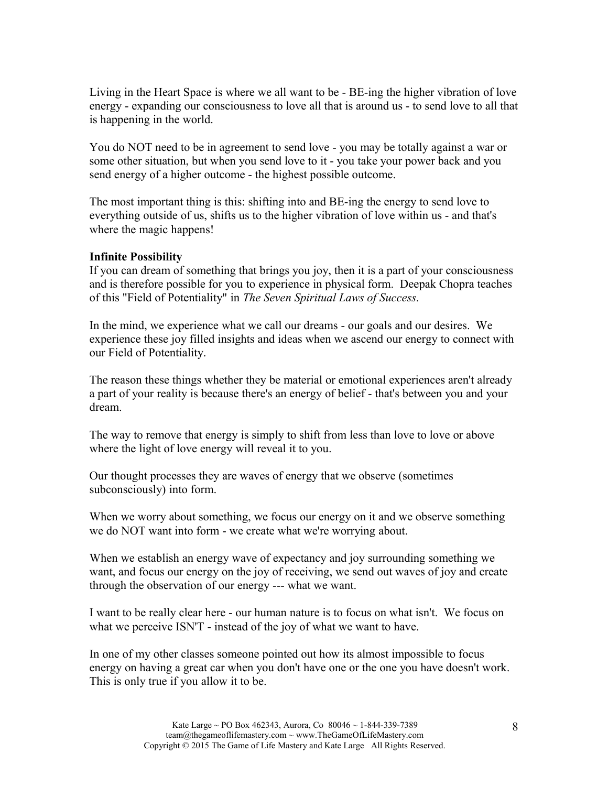Living in the Heart Space is where we all want to be - BE-ing the higher vibration of love energy - expanding our consciousness to love all that is around us - to send love to all that is happening in the world.

You do NOT need to be in agreement to send love - you may be totally against a war or some other situation, but when you send love to it - you take your power back and you send energy of a higher outcome - the highest possible outcome.

The most important thing is this: shifting into and BE-ing the energy to send love to everything outside of us, shifts us to the higher vibration of love within us - and that's where the magic happens!

## **Infinite Possibility**

If you can dream of something that brings you joy, then it is a part of your consciousness and is therefore possible for you to experience in physical form. Deepak Chopra teaches of this "Field of Potentiality" in *The Seven Spiritual Laws of Success.*

In the mind, we experience what we call our dreams - our goals and our desires. We experience these joy filled insights and ideas when we ascend our energy to connect with our Field of Potentiality.

The reason these things whether they be material or emotional experiences aren't already a part of your reality is because there's an energy of belief - that's between you and your dream.

The way to remove that energy is simply to shift from less than love to love or above where the light of love energy will reveal it to you.

Our thought processes they are waves of energy that we observe (sometimes subconsciously) into form.

When we worry about something, we focus our energy on it and we observe something we do NOT want into form - we create what we're worrying about.

When we establish an energy wave of expectancy and joy surrounding something we want, and focus our energy on the joy of receiving, we send out waves of joy and create through the observation of our energy --- what we want.

I want to be really clear here - our human nature is to focus on what isn't. We focus on what we perceive ISN'T - instead of the joy of what we want to have.

In one of my other classes someone pointed out how its almost impossible to focus energy on having a great car when you don't have one or the one you have doesn't work. This is only true if you allow it to be.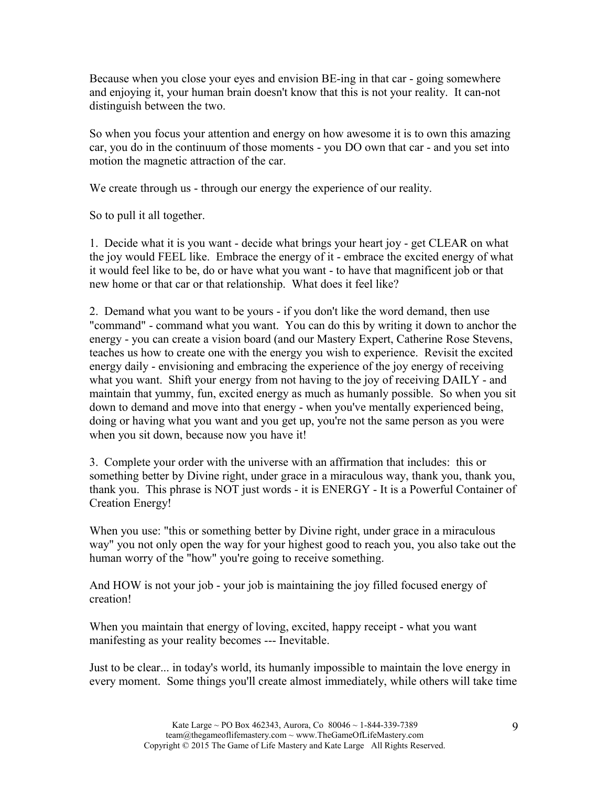Because when you close your eyes and envision BE-ing in that car - going somewhere and enjoying it, your human brain doesn't know that this is not your reality. It can-not distinguish between the two.

So when you focus your attention and energy on how awesome it is to own this amazing car, you do in the continuum of those moments - you DO own that car - and you set into motion the magnetic attraction of the car.

We create through us - through our energy the experience of our reality.

So to pull it all together.

1. Decide what it is you want - decide what brings your heart joy - get CLEAR on what the joy would FEEL like. Embrace the energy of it - embrace the excited energy of what it would feel like to be, do or have what you want - to have that magnificent job or that new home or that car or that relationship. What does it feel like?

2. Demand what you want to be yours - if you don't like the word demand, then use "command" - command what you want. You can do this by writing it down to anchor the energy - you can create a vision board (and our Mastery Expert, Catherine Rose Stevens, teaches us how to create one with the energy you wish to experience. Revisit the excited energy daily - envisioning and embracing the experience of the joy energy of receiving what you want. Shift your energy from not having to the joy of receiving DAILY - and maintain that yummy, fun, excited energy as much as humanly possible. So when you sit down to demand and move into that energy - when you've mentally experienced being, doing or having what you want and you get up, you're not the same person as you were when you sit down, because now you have it!

3. Complete your order with the universe with an affirmation that includes: this or something better by Divine right, under grace in a miraculous way, thank you, thank you, thank you. This phrase is NOT just words - it is ENERGY - It is a Powerful Container of Creation Energy!

When you use: "this or something better by Divine right, under grace in a miraculous way" you not only open the way for your highest good to reach you, you also take out the human worry of the "how" you're going to receive something.

And HOW is not your job - your job is maintaining the joy filled focused energy of creation!

When you maintain that energy of loving, excited, happy receipt - what you want manifesting as your reality becomes --- Inevitable.

Just to be clear... in today's world, its humanly impossible to maintain the love energy in every moment. Some things you'll create almost immediately, while others will take time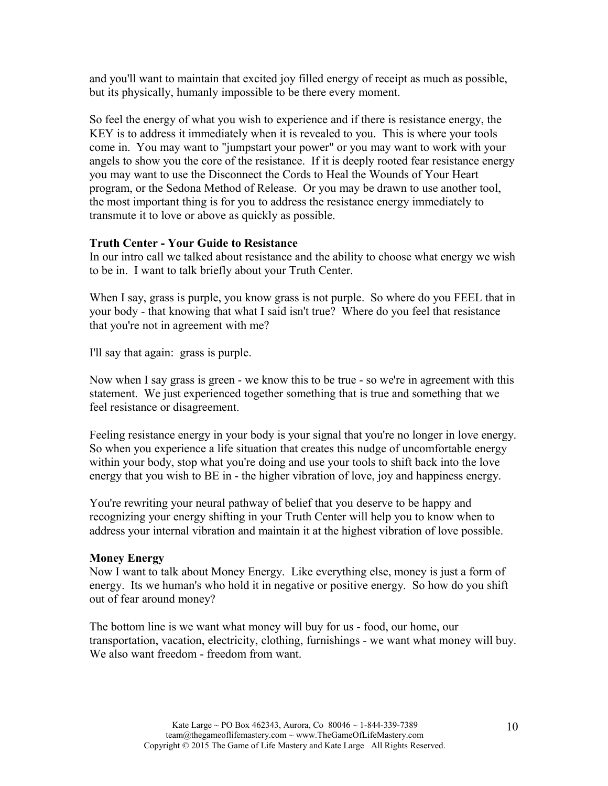and you'll want to maintain that excited joy filled energy of receipt as much as possible, but its physically, humanly impossible to be there every moment.

So feel the energy of what you wish to experience and if there is resistance energy, the KEY is to address it immediately when it is revealed to you. This is where your tools come in. You may want to "jumpstart your power" or you may want to work with your angels to show you the core of the resistance. If it is deeply rooted fear resistance energy you may want to use the Disconnect the Cords to Heal the Wounds of Your Heart program, or the Sedona Method of Release. Or you may be drawn to use another tool, the most important thing is for you to address the resistance energy immediately to transmute it to love or above as quickly as possible.

## **Truth Center - Your Guide to Resistance**

In our intro call we talked about resistance and the ability to choose what energy we wish to be in. I want to talk briefly about your Truth Center.

When I say, grass is purple, you know grass is not purple. So where do you FEEL that in your body - that knowing that what I said isn't true? Where do you feel that resistance that you're not in agreement with me?

I'll say that again: grass is purple.

Now when I say grass is green - we know this to be true - so we're in agreement with this statement. We just experienced together something that is true and something that we feel resistance or disagreement.

Feeling resistance energy in your body is your signal that you're no longer in love energy. So when you experience a life situation that creates this nudge of uncomfortable energy within your body, stop what you're doing and use your tools to shift back into the love energy that you wish to BE in - the higher vibration of love, joy and happiness energy.

You're rewriting your neural pathway of belief that you deserve to be happy and recognizing your energy shifting in your Truth Center will help you to know when to address your internal vibration and maintain it at the highest vibration of love possible.

#### **Money Energy**

Now I want to talk about Money Energy. Like everything else, money is just a form of energy. Its we human's who hold it in negative or positive energy. So how do you shift out of fear around money?

The bottom line is we want what money will buy for us - food, our home, our transportation, vacation, electricity, clothing, furnishings - we want what money will buy. We also want freedom - freedom from want.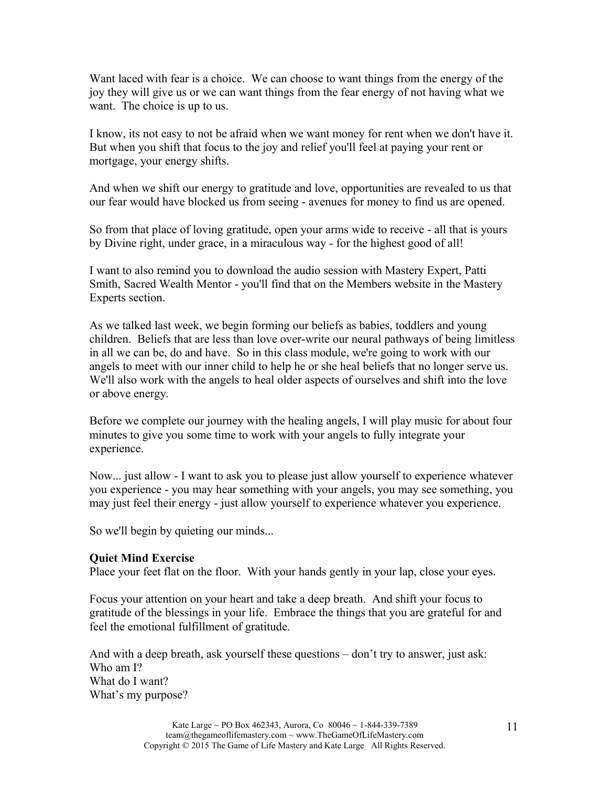Want laced with fear is a choice. We can choose to want things from the energy of the joy they will give us or we can want things from the fear energy of not having what we want. The choice is up to us.

I know, its not easy to not be afraid when we want money for rent when we don't have it. But when you shift that focus to the joy and relief you'll feel at paying your rent or mortgage, your energy shifts.

And when we shift our energy to gratitude and love, opportunities are revealed to us that our fear would have blocked us from seeing - avenues for money to find us are opened.

So from that place of loving gratitude, open your arms wide to receive - all that is yours by Divine right, under grace, in a miraculous way - for the highest good of all!

I want to also remind you to download the audio session with Mastery Expert, Patti Smith, Sacred Wealth Mentor - you'll find that on the Members website in the Mastery Experts section.

As we talked last week, we begin forming our beliefs as babies, toddlers and young children. Beliefs that are less than love over-write our neural pathways of being limitless in all we can be, do and have. So in this class module, we're going to work with our angels to meet with our inner child to help he or she heal beliefs that no longer serve us. We'll also work with the angels to heal older aspects of ourselves and shift into the love or above energy.

Before we complete our journey with the healing angels, I will play music for about four minutes to give you some time to work with your angels to fully integrate your experience.

Now... just allow - I want to ask you to please just allow yourself to experience whatever you experience - you may hear something with your angels, you may see something, you may just feel their energy - just allow yourself to experience whatever you experience.

So we'll begin by quieting our minds...

#### **Quiet Mind Exercise**

Place your feet flat on the floor. With your hands gently in your lap, close your eyes.

Focus your attention on your heart and take a deep breath. And shift your focus to gratitude of the blessings in your life. Embrace the things that you are grateful for and feel the emotional fulfillment of gratitude.

And with a deep breath, ask yourself these questions – don't try to answer, just ask: Who am I? What do I want? What's my purpose?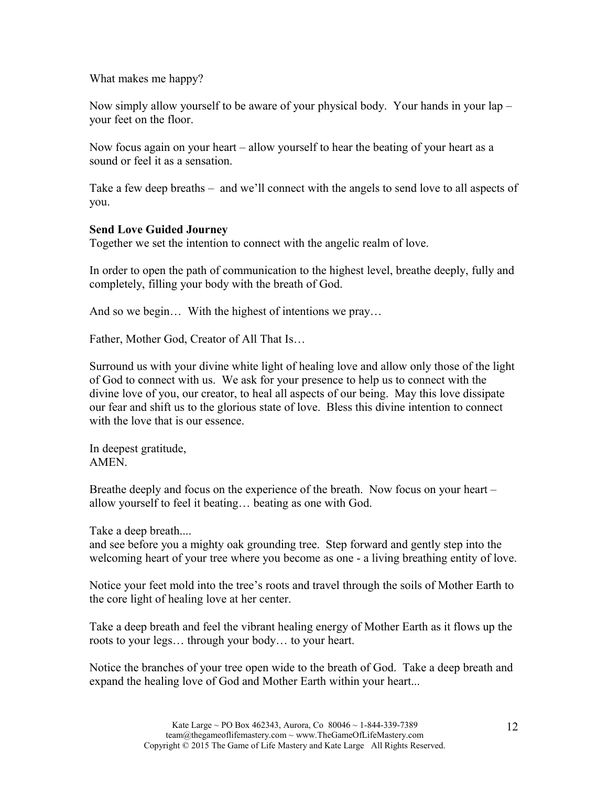What makes me happy?

Now simply allow yourself to be aware of your physical body. Your hands in your lap – your feet on the floor.

Now focus again on your heart – allow yourself to hear the beating of your heart as a sound or feel it as a sensation.

Take a few deep breaths – and we'll connect with the angels to send love to all aspects of you.

## **Send Love Guided Journey**

Together we set the intention to connect with the angelic realm of love.

In order to open the path of communication to the highest level, breathe deeply, fully and completely, filling your body with the breath of God.

And so we begin... With the highest of intentions we pray...

Father, Mother God, Creator of All That Is…

Surround us with your divine white light of healing love and allow only those of the light of God to connect with us. We ask for your presence to help us to connect with the divine love of you, our creator, to heal all aspects of our being. May this love dissipate our fear and shift us to the glorious state of love. Bless this divine intention to connect with the love that is our essence.

In deepest gratitude, **AMEN** 

Breathe deeply and focus on the experience of the breath. Now focus on your heart – allow yourself to feel it beating… beating as one with God.

Take a deep breath....

and see before you a mighty oak grounding tree. Step forward and gently step into the welcoming heart of your tree where you become as one - a living breathing entity of love.

Notice your feet mold into the tree's roots and travel through the soils of Mother Earth to the core light of healing love at her center.

Take a deep breath and feel the vibrant healing energy of Mother Earth as it flows up the roots to your legs… through your body… to your heart.

Notice the branches of your tree open wide to the breath of God. Take a deep breath and expand the healing love of God and Mother Earth within your heart...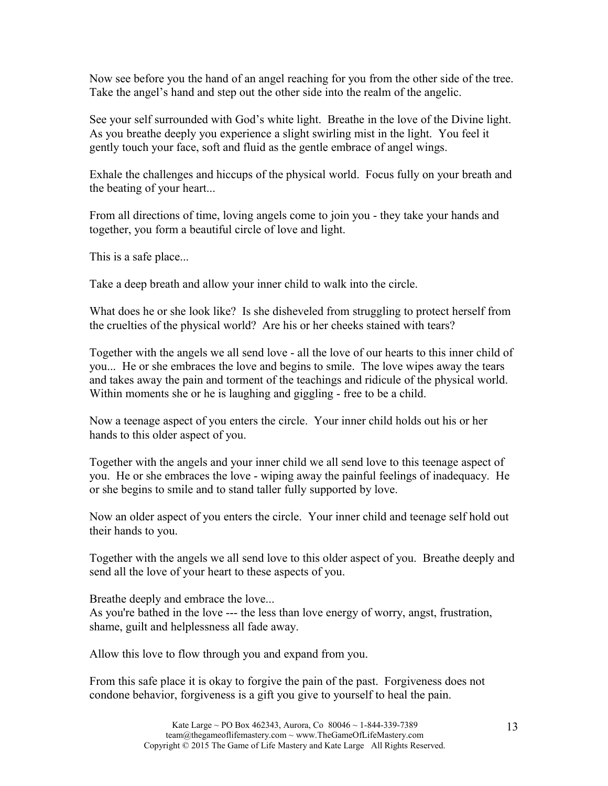Now see before you the hand of an angel reaching for you from the other side of the tree. Take the angel's hand and step out the other side into the realm of the angelic.

See your self surrounded with God's white light. Breathe in the love of the Divine light. As you breathe deeply you experience a slight swirling mist in the light. You feel it gently touch your face, soft and fluid as the gentle embrace of angel wings.

Exhale the challenges and hiccups of the physical world. Focus fully on your breath and the beating of your heart...

From all directions of time, loving angels come to join you - they take your hands and together, you form a beautiful circle of love and light.

This is a safe place...

Take a deep breath and allow your inner child to walk into the circle.

What does he or she look like? Is she disheveled from struggling to protect herself from the cruelties of the physical world? Are his or her cheeks stained with tears?

Together with the angels we all send love - all the love of our hearts to this inner child of you... He or she embraces the love and begins to smile. The love wipes away the tears and takes away the pain and torment of the teachings and ridicule of the physical world. Within moments she or he is laughing and giggling - free to be a child.

Now a teenage aspect of you enters the circle. Your inner child holds out his or her hands to this older aspect of you.

Together with the angels and your inner child we all send love to this teenage aspect of you. He or she embraces the love - wiping away the painful feelings of inadequacy. He or she begins to smile and to stand taller fully supported by love.

Now an older aspect of you enters the circle. Your inner child and teenage self hold out their hands to you.

Together with the angels we all send love to this older aspect of you. Breathe deeply and send all the love of your heart to these aspects of you.

Breathe deeply and embrace the love... As you're bathed in the love --- the less than love energy of worry, angst, frustration, shame, guilt and helplessness all fade away.

Allow this love to flow through you and expand from you.

From this safe place it is okay to forgive the pain of the past. Forgiveness does not condone behavior, forgiveness is a gift you give to yourself to heal the pain.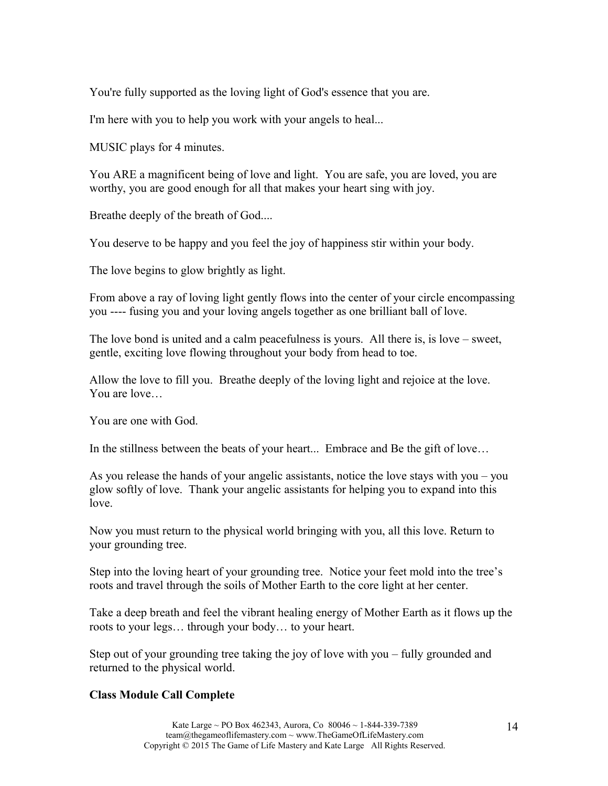You're fully supported as the loving light of God's essence that you are.

I'm here with you to help you work with your angels to heal...

MUSIC plays for 4 minutes.

You ARE a magnificent being of love and light. You are safe, you are loved, you are worthy, you are good enough for all that makes your heart sing with joy.

Breathe deeply of the breath of God....

You deserve to be happy and you feel the joy of happiness stir within your body.

The love begins to glow brightly as light.

From above a ray of loving light gently flows into the center of your circle encompassing you ---- fusing you and your loving angels together as one brilliant ball of love.

The love bond is united and a calm peacefulness is yours. All there is, is love – sweet, gentle, exciting love flowing throughout your body from head to toe.

Allow the love to fill you. Breathe deeply of the loving light and rejoice at the love. You are love…

You are one with God.

In the stillness between the beats of your heart... Embrace and Be the gift of love…

As you release the hands of your angelic assistants, notice the love stays with you – you glow softly of love. Thank your angelic assistants for helping you to expand into this love.

Now you must return to the physical world bringing with you, all this love. Return to your grounding tree.

Step into the loving heart of your grounding tree. Notice your feet mold into the tree's roots and travel through the soils of Mother Earth to the core light at her center.

Take a deep breath and feel the vibrant healing energy of Mother Earth as it flows up the roots to your legs… through your body… to your heart.

Step out of your grounding tree taking the joy of love with you – fully grounded and returned to the physical world.

# **Class Module Call Complete**